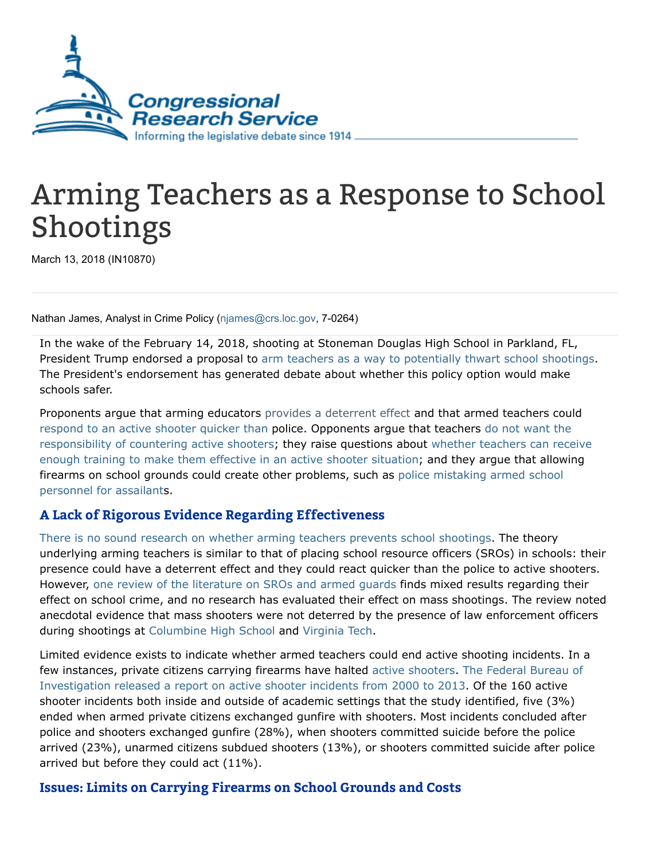

## Arming Teachers as a Response to School Shootings

March 13, 2018 (IN10870)

Nathan James, Analyst in Crime Policy ([njames@crs.loc.gov,](mailto:njames@crs.loc.gov) 7-0264)

In the wake of the February 14, 2018, shooting at Stoneman Douglas High School in Parkland, FL, President Trump endorsed a proposal to arm teachers as a way to [potentially](https://www.nytimes.com/2018/02/22/us/politics/trump-guns-school-shootings.html) thwart school shootings. The President's endorsement has generated debate about whether this policy option would make schools safer.

Proponents argue that arming educators provides a [deterrent](https://www.cnn.com/2018/02/22/politics/donald-trump-gun-reforms-school-shooting/index.html) effect and that armed teachers could [respond](https://www.cnn.com/2018/02/24/us/armed-teachers-states-trnd/index.html) to an active shooter quicker than police. Opponents argue that teachers do not want the [responsibility](https://www.nytimes.com/2018/03/01/us/armed-teachers-guns-schools.html) of countering active shooters; they raise questions about whether teachers can receive enough training to make them effective in an active shooter situation; and they argue that allowing firearms on school grounds could create other problems, such as police mistaking armed school personnel for [assailants.](https://www.theguardian.com/us-news/2018/feb/22/donald-trump-insists-arming-teachers-guns-shootings)

## A Lack of Rigorous Evidence Regarding Effectiveness

There is no sound research on whether arming teachers prevents school [shootings.](https://www.vox.com/policy-and-politics/2018/2/23/17041662/armed-teachers-gun-violence-mass-shootings) The theory underlying arming teachers is similar to that of placing school resource officers (SROs) in schools: their presence could have a deterrent effect and they could react quicker than the police to active shooters. However, one review of the [literature](https://www.tandfonline.com/doi/pdf/10.1080/15564886.2017.1307293?needAccess=true) on SROs and armed guards finds mixed results regarding their effect on school crime, and no research has evaluated their effect on mass shootings. The review noted anecdotal evidence that mass shooters were not deterred by the presence of law enforcement officers during shootings at [Columbine](https://www.history.com/topics/columbine-high-school-shootings) High School and [Virginia](https://www.history.com/this-day-in-history/massacre-at-virginia-tech-leaves-32-dead) Tech.

Limited evidence exists to indicate whether armed teachers could end active shooting incidents. In a few instances, private citizens carrying firearms have halted active [shooters](https://www.fbi.gov/about/partnerships/office-of-partner-engagement/active-shooter-resources). The Federal Bureau of [Investigation](https://www.fbi.gov/file-repository/active-shooter-study-2000-2013-1.pdf/view) released a report on active shooter incidents from 2000 to 2013. Of the 160 active shooter incidents both inside and outside of academic settings that the study identified, five (3%) ended when armed private citizens exchanged gunfire with shooters. Most incidents concluded after police and shooters exchanged gunfire (28%), when shooters committed suicide before the police arrived (23%), unarmed citizens subdued shooters (13%), or shooters committed suicide after police arrived but before they could act (11%).

## Issues: Limits on Carrying Firearms on School Grounds and Costs